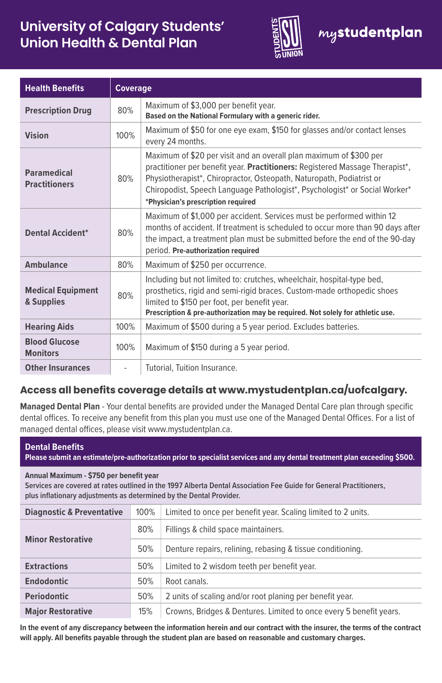# **University of Calgary Students' Union Health & Dental Plan**



| <b>Health Benefits</b>                     | <b>Coverage</b> |                                                                                                                                                                                                                                                                                                                                                |
|--------------------------------------------|-----------------|------------------------------------------------------------------------------------------------------------------------------------------------------------------------------------------------------------------------------------------------------------------------------------------------------------------------------------------------|
| <b>Prescription Drug</b>                   | 80%             | Maximum of \$3,000 per benefit year.<br>Based on the National Formulary with a generic rider.                                                                                                                                                                                                                                                  |
| <b>Vision</b>                              | 100%            | Maximum of \$50 for one eye exam, \$150 for glasses and/or contact lenses<br>every 24 months.                                                                                                                                                                                                                                                  |
| <b>Paramedical</b><br><b>Practitioners</b> | 80%             | Maximum of \$20 per visit and an overall plan maximum of \$300 per<br>practitioner per benefit year. Practitioners: Registered Massage Therapist*,<br>Physiotherapist*, Chiropractor, Osteopath, Naturopath, Podiatrist or<br>Chiropodist, Speech Language Pathologist*, Psychologist* or Social Worker*<br>*Physician's prescription required |
| <b>Dental Accident*</b>                    | 80%             | Maximum of \$1,000 per accident. Services must be performed within 12<br>months of accident. If treatment is scheduled to occur more than 90 days after<br>the impact, a treatment plan must be submitted before the end of the 90-day<br>period. Pre-authorization required                                                                   |
| <b>Ambulance</b>                           | 80%             | Maximum of \$250 per occurrence.                                                                                                                                                                                                                                                                                                               |
| <b>Medical Equipment</b><br>& Supplies     | 80%             | Including but not limited to: crutches, wheelchair, hospital-type bed,<br>prosthetics, rigid and semi-rigid braces. Custom-made orthopedic shoes<br>limited to \$150 per foot, per benefit year.<br>Prescription & pre-authorization may be required. Not solely for athletic use.                                                             |
| <b>Hearing Aids</b>                        | 100%            | Maximum of \$500 during a 5 year period. Excludes batteries.                                                                                                                                                                                                                                                                                   |
| <b>Blood Glucose</b><br><b>Monitors</b>    | 100%            | Maximum of \$150 during a 5 year period.                                                                                                                                                                                                                                                                                                       |
| <b>Other Insurances</b>                    | ÷               | Tutorial, Tuition Insurance.                                                                                                                                                                                                                                                                                                                   |

# **Access all benefits coverage details at www.mystudentplan.ca/uofcalgary.**

**Managed Dental Plan** - Your dental benefits are provided under the Managed Dental Care plan through specific dental offices. To receive any benefit from this plan you must use one of the Managed Dental Offices. For a list of managed dental offices, please visit www.mystudentplan.ca.

| <b>Dental Benefits</b><br>Please submit an estimate/pre-authorization prior to specialist services and any dental treatment plan exceeding \$500.                                                                                    |      |                                                                    |  |  |
|--------------------------------------------------------------------------------------------------------------------------------------------------------------------------------------------------------------------------------------|------|--------------------------------------------------------------------|--|--|
| Annual Maximum - \$750 per benefit year<br>Services are covered at rates outlined in the 1997 Alberta Dental Association Fee Guide for General Practitioners.<br>plus inflationary adjustments as determined by the Dental Provider. |      |                                                                    |  |  |
| <b>Diagnostic &amp; Preventative</b>                                                                                                                                                                                                 | 100% | Limited to once per benefit year. Scaling limited to 2 units.      |  |  |
|                                                                                                                                                                                                                                      | 80%  | Fillings & child space maintainers.                                |  |  |
| <b>Minor Restorative</b>                                                                                                                                                                                                             | 50%  | Denture repairs, relining, rebasing & tissue conditioning.         |  |  |
| <b>Extractions</b>                                                                                                                                                                                                                   | 50%  | Limited to 2 wisdom teeth per benefit year.                        |  |  |
| <b>Endodontic</b>                                                                                                                                                                                                                    | 50%  | Root canals.                                                       |  |  |
| <b>Periodontic</b>                                                                                                                                                                                                                   | 50%  | 2 units of scaling and/or root planing per benefit year.           |  |  |
| <b>Major Restorative</b>                                                                                                                                                                                                             | 15%  | Crowns, Bridges & Dentures. Limited to once every 5 benefit years. |  |  |

**In the event of any discrepancy between the information herein and our contract with the insurer, the terms of the contract will apply. All benefits payable through the student plan are based on reasonable and customary charges.**